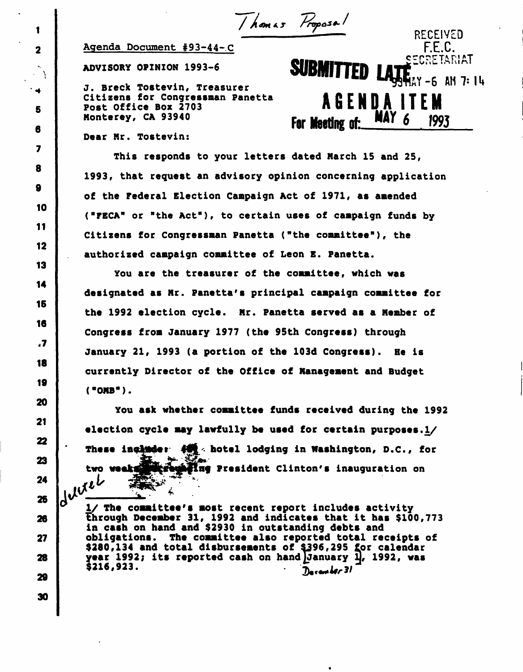Thomas Proposal RECEIVED

SECRETARIAT

2 Agenda Document #93-44-C F.E.C.

ADVISORY OPINION 1993-6 SUBMITTED

J. Breck Tostevin, Treasurer **1999 AM 7: 14** Control of the Second Second 1.1 AM 7: 14 Citizens for Congressman Panetta<br>Post Office Box 2703 5 Citizens for Congressman Panetta<br>Post Office Box 2703<br>MAY 6 100 6 Nonterey, CA 93940 **For Meeting of:** MAY 6 1993

Dear Mr. Tostevin:

This responds to your letters dated March 15 and 25, 1993, that request an advisory opinion concerning application of the Federal Election Campaign Act of 1971, as amended ("FECA" or "the Act"), to certain uses of campaign funds by Citizens for Congressman Panetta ("the committee"), the authorized campaign committee of Leon E. Panetta.

You are the treasurer of the committee, which was designated as Mr. Panetta's principal campaign committee for the 1992 election cycle. Mr. Panetta served as a Member of Congress from January 1977 (the 95th Congress) through January 21, 1993 (a portion of the 103d Congress). He is currently Director of the Office of Management and Budget ("OMB").

You ask whether committee funds received during the 1992 election cycle may lawfully be used for certain purposes.I/ These include:  $\leftarrow$  hotel lodging in Washington, D.C., for two weak with registing President Clinton's inauguration on  $\frac{1}{2}$  The committee's most recent report includes activity

26 **the 1-11 secomber 31, 1992 and indicates that it has \$100,773** in cash on hand and \$2930 in outstanding debts and 27 **i** obligations. The committee also reported total receipts of \$280,134 and total disbursements of 4396,295 for calendar 28 year 1992; its reported cash on hand (January 1J, 1992, was  $\frac{1}{20}$  \$216,923.  $\frac{1}{20}$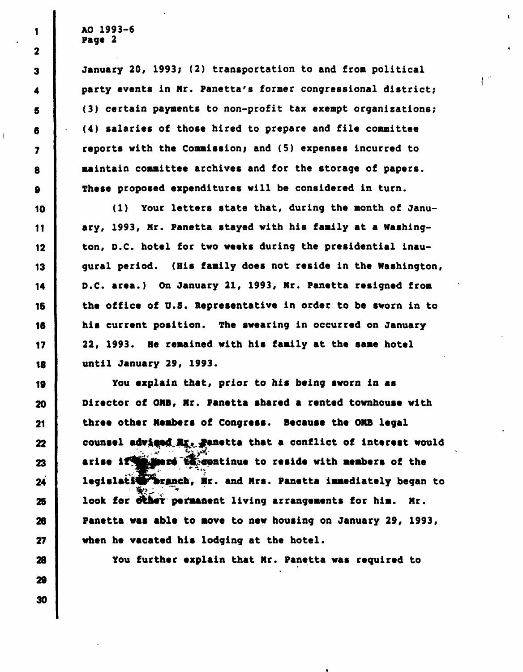1

2

3

4

5

6

7

8

9

10

11

12

13

14

15

January 20, 1993; (2) transportation to and from political party events in Mr. Panetta's former congressional district; (3) certain payments to non-profit tax exempt organizations; (4) salaries of those hired to prepare and file committee reports with the Commission; and (5) expenses incurred to maintain committee archives and for the storage of papers. These proposed expenditures will be considered in turn.

 $\mathbb{C}^2$ 

(1) Your letters state that, during the month of January, 1993, Mr. Panetta stayed with his family at a Washington, D.C. hotel for two weeks during the presidential inaugural period. (His family does not reside in the Washington, D.C. area.) On January 21, 1993, Mr. Panetta resigned from the office of U.S. Representative in order to be sworn in to his current position. The swearing in occurred on January 22, 1993. He remained with his family at the same hotel until January 29, 1993.

You explain that, prior to his being sworn in as Director of OMB, Mr. Panetta shared a rented townhouse with three other Members of Congress. Because the OMB legal counsel adviged Mr. Panetta that a conflict of interest would arise if **the more to** continue to reside with members of the legislatiwy branch, Mr. and Mrs. Panetta immediately began to look for diher permanent living arrangements for him. Mr. Panetta was able to move to new housing on January 29, 1993, when he vacated his lodging at the hotel.

You further explain that Mr. Panetta was required to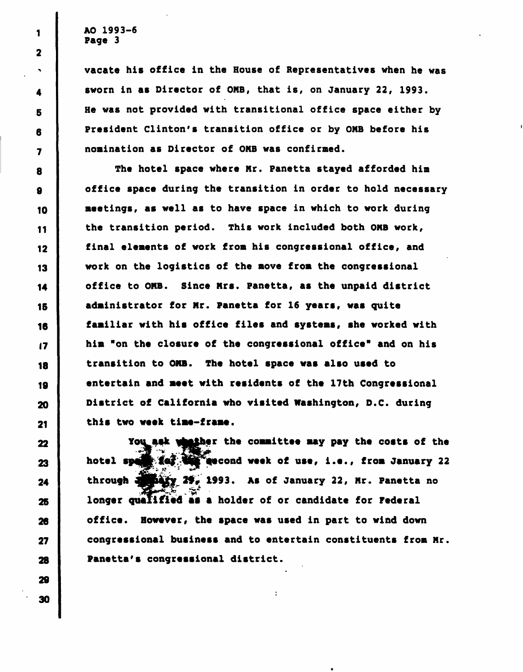vacate his office in the House of Representatives when he was 4 Sworn in as Director of OMB, that is, on January 22, 1993. 5 | He was not provided with transitional office space either by 6 President Clinton's transition office or by OMB before his 7 nomination as Director of OMB was confirmed.

8 The hotel space where Mr. Panetta stayed afforded him 9 office space during the transition in order to hold necessary 10 meetings, as well as to have space in which to work during II the transition period. This work included both OMB work, 12 final elements of work from his congressional office, and 13 work on the logistics of the move from the congressional 14 office to OMB. Since Mrs. Panetta, as the unpaid district 15 administrator for Mr. Panetta for 16 years, was quite 16 familiar with his office files and systems, she worked with 17 him "on the closure of the congressional office" and on his 18 transition to OMB. The hotel space was also used to 19 entertain and meet with residents of the 17th Congressional 20 District of California who visited Washington, D.C. during 21 this two week time-frame.

You ask whather the committee may pay the costs of the 23 | hotel spain for the escond week of use, i.e., from January 22  $24$  through  $\frac{3}{2}$   $\frac{3}{2}$   $\frac{3}{2}$  2f. 1993. As of January 22, Mr. Panetta no 25 longer qualified as a holder of or candidate for Federal 26 office. However, the space was used in part to wind down 27 congressional business and to entertain constituents from Mr. 28 Panetta's congressional district.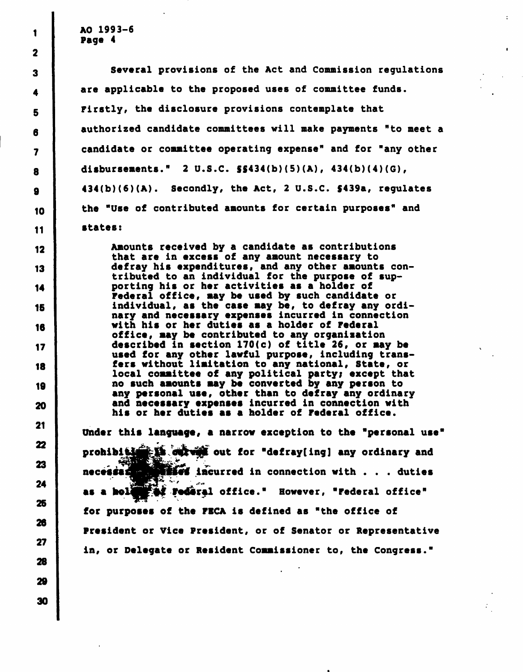$\frac{1}{1}$  AO 1993-6 Page 4

3 Several provisions of the Act and Commission regulations  $_4$  | are applicable to the proposed uses of committee funds. g Firstly, the disclosure provisions contemplate that 8 authorized candidate committees will make payments "to meet a 7 candidate or committee operating expense" and for "any other <sup>8</sup> disbursements." 2 U.S.C. 5S434(b)(5)(A), 434(b)(4)(G), g 434(b)(6)(A). Secondly, the Act, 2 U.S.C. \$439a, regulates 10 the "Use of contributed amounts for certain purposes" and II states:

12 Amounts received by a candidate as contributions that are in excess of any amount necessary to 13 defray his expenditures, and any other amounts contributed to an individual for the purpose of sup-14 porting his or her activities as a holder of Federal office, may be used by such candidate or 15 individual, as the case may be, to defray any ordinary and necessary expenses incurred in connection 18 with his or her duties as a holder of Federal office, may be contributed to any organization 17 described in section 170(c) of title 26, or may be used for any other lawful purpose, including trans-18 fers without limitation to any national, State, or local committee of any political party; except that 19 no such amounts may be converted by any person to any personal use, other than to defray any ordinary 20 and necessary expenses incurred in connection with his or her duties as a holder of Federal office.

> Under this language, a narrow exception to the "personal use" prohibition is out for "defray ing] any ordinary and necesses with incurred in connection with . . . duties f **Federal office."** However, "Federal office" for purposes of the FBCA is defined as "the office of President or Vice President, or of Senator or Representative in, or Delegate or Resident Commissioner to, the Congress."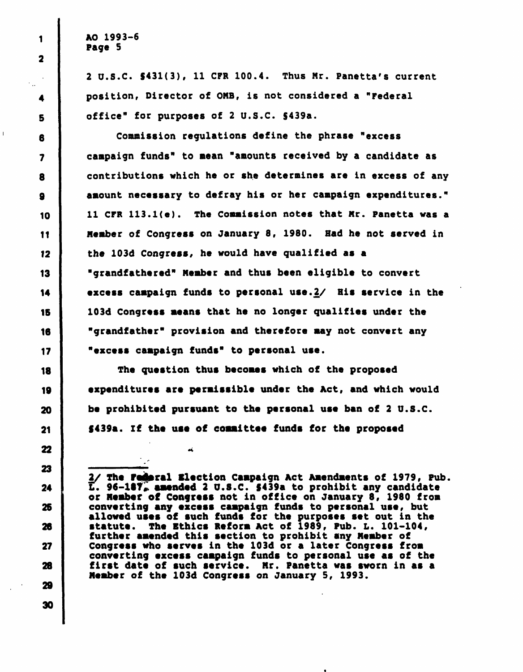2 U.S.C. \$431(3), 11 CFR 100.4. Thus Mr. Panetta's current position, Director of OMB, is not considered a "Federal office" for purposes of 2 U.S.C. S439a.

Commission regulations define the phrase "excess campaign funds" to mean "amounts received by a candidate as contributions which he or she determines are in excess of any amount necessary to defray his or her campaign expenditures." 11 CFR 113.l(e). The Commission notes that Mr. Panetta was a Member of Congress on January 8, 1980. Had he not served in the 103d Congress, he would have qualified as a "grandfathered" Member and thus been eligible to convert excess campaign funds to personal use. $2/$  His service in the 103d Congress means that he no longer qualifies under the "grandfather" provision and therefore may not convert any "excess campaign funds" to personal use.

The question thus becomes which of the proposed expenditures are permissible under the Act, and which would be prohibited pursuant to the personal use ban of 2 U.S.C. §439a. If the use of committee funds for the proposed

óĹ.

2/ The Federal Election Campaign Act Amendments of 1979, Pub.  $\overline{L}$ . 96-187 $\overline{F}$  amended 2 U.S.C. 5439a to prohibit any candidate or Member of Congress not in office on January 8, 1980 from converting any excess campaign funds to personal use, but allowed uses of such funds for the purposes set out in the statute. The Ethics Reform Act of 1989, Pub. L. 101-104, further amended this section to prohibit any Member of Congress who serves in the 103d or a later Congress from converting excess campaign funds to personal use as of the first date of such service. Mr. Panetta was sworn in as a Member of the 103d Congress on January 5, 1993.

1 2

4

 $\mathcal{L}_{\rm{max}}$ 

5

6

7

8

9

10

11

12

13

14

15

16

17

18

19

20

21

22

23

24

25

28

27

28

29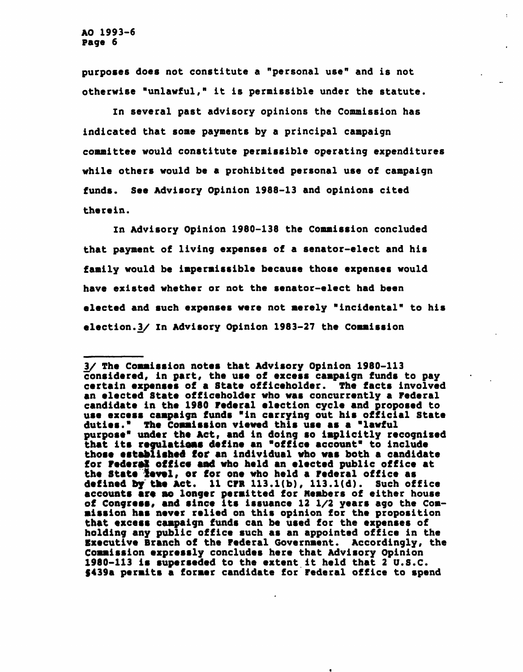purposes does not constitute a "personal use" and is not otherwise "unlawful," it is permissible under the statute.

In several past advisory opinions the Commission has indicated that some payments by a principal campaign committee would constitute permissible operating expenditures while others would be a prohibited personal use of campaign funds. See Advisory Opinion 1988-13 and opinions cited therein.

In Advisory Opinion 1980-138 the Commission concluded that payment of living expenses of a senator-elect and his family would be impermissible because those expenses would have existed whether or not the senator-elect had been elected and such expenses were not merely "incidental" to his election.3/ In Advisory Opinion 1983-27 the Commission

<sup>3/</sup> The Commission notes that Advisory Opinion 1980-113 considered, in part, the use of excess campaign funds to pay certain expenses of a State officeholder. The facts involved an elected State officeholder who was concurrently a Federal candidate in the 1980 Federal election cycle and proposed to use excess campaign funds "in carrying out his official State duties." The Commission viewed this use as a "lawful purpose" under the Act, and in doing so implicitly recognized that its regulatioas define an "office account" to include those established for an individual who was both a candidate for Federal office and who held an elected public office at the State level, or for one who held a Federal office as defined by the Act. 11 CPR 113.l(b), 113.l(d). Such office accounts are no longer permitted for Members of either house of Congress, and since its issuance 12 1/2 years ago the Commission has never relied on this opinion for the proposition that excess campaign funds can be used for the expenses of holding any public office such as an appointed office in the Executive Branch of the Federal Government. Accordingly, the Commission expressly concludes here that Advisory Opinion 1980-113 is superseded to the extent it held that 2 U.S.C. §439a permits a former candidate for Federal office to spend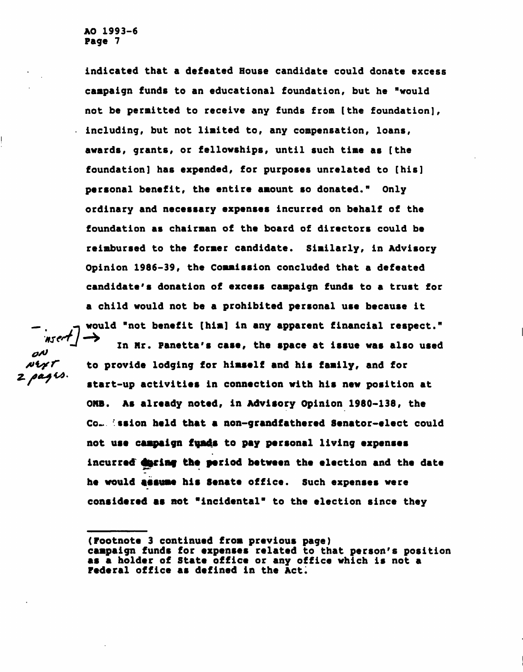indicated that a defeated House candidate could donate excess campaign funds to an educational foundation, but he "would not be permitted to receive any funds from [the foundation], including, but not limited to, any compensation, loans, awards, grants, or fellowships, until such time as [the foundation] has expended, for purposes unrelated to [his] personal benefit, the entire amount so donated." Only ordinary and necessary expenses incurred on behalf of the foundation as chairman of the board of directors could be reimbursed to the former candidate. Similarly, in Advisory Opinion 1986-39, the Commission concluded that a defeated candidate's donation of excess campaign funds to a trust for a child would not be a prohibited personal use because it would "not benefit [him] in any apparent financial respect."

ON NYT  $z$  pags.

In Mr. Panetta's case, the space at issue was also used to provide lodging for himself and his family, and for start-up activities in connection with his new position at ONB. As already noted, in Advisory Opinion 1980-138, the Co... ssion held that a non-grandfathered Senator-elect could not use campaign funds to pay personal living expenses incurred during the period between the election and the date he would assume his Senate office. Such expenses were considered as not "incidental" to the election since they

(Footnote 3 continued from previous page) campaign funds for expenses related to that person's position as a holder of State office or any office which is not a Federal office as defined in the Act.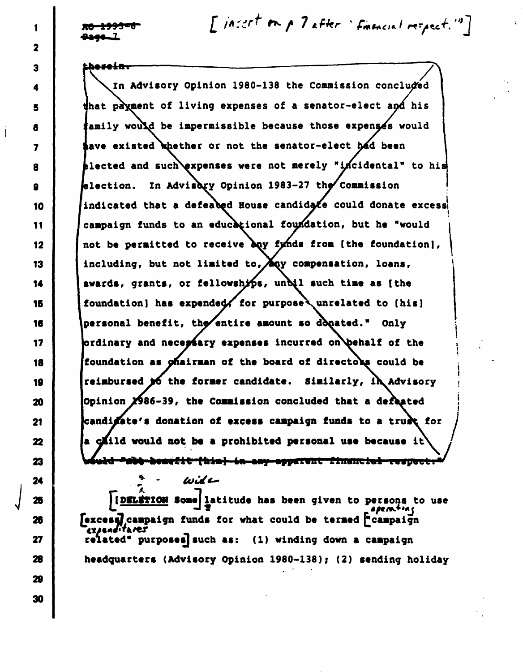1

2

3

4

5

6

7

8

9

10

11

12

13

14

15

16

17

18

19

20

21

22

23

24

25

26

27

28

29

30

 $[1/nz$  or  $[1/nz]$  after 'finencial respect."]

herei<del>n.</del>

In Advisory Opinion 1980-138 the Commission concluded that payment of living expenses of a senator-elect and his family would be impermissible because those expenses would have existed whether or not the senator-elect had been tlected and such expenses were not merely "incidental" to his election. In Advisory Opinion 1983-27 the Commission indicated that a defeated House candidate could donate excess campaign funds to an educational foundation, but he "would not be permitted to receive buy fyinds from [the foundation], including, but not limited to,  $\bigwedge^{\bullet}$  compensation, loans, awards, grants, or fellowships, unbil such time as [the foundation] has expended, for purpose wnrelated to [his] personal benefit, the/entire amount so donated." Only ordinary and necessary expenses incurred on behalf of the foundation as ohairman of the board of directors could be reimbursed  $\boldsymbol{p}$  the former candidate. Similarly, in Advisory Opinion 2986-39, the Commission concluded that a defeated candidate's donation of excess campaign funds to a trust for a cliid would not be a prohibited personal use because it **osefit (his) in any opparent financial respect. "** 

IDELETION Some latitude has been given to persona to use  $\sum_{i=1}^{n} \frac{1}{i}$ [excesa] campaign funds for what could be termed ["campaign cx/enditares related\* purposes] such as: (1) winding down a campaign headquarters (Advisory Opinion 1980-138); (2) sending holiday

wit –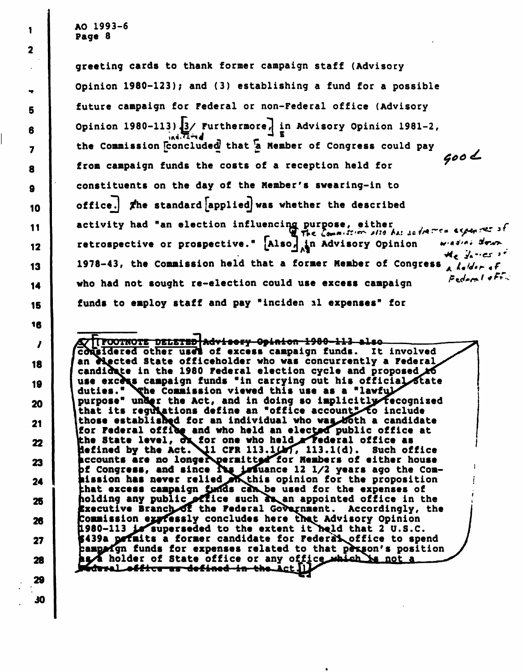greeting cards to thank former campaign staff (Advisory Opinion 1980-123); and (3) establishing a fund for a possible future campaign for Federal or non-Federal office (Advisory Opinion 1980-113)  $3/$  Furthermore, in Advisory Opinion 1981-2,  $\frac{1}{2}$ ind  $\frac{1}{2}$ the Commission concluded that a Member of Congress could pay  $600<$ from campaign funds the costs of a reception held for 9 constituents on the day of the Member's swearing-in to 10 office. The standard applied was whether the described activity had "an election influencing purpose, either W The Commission also has so freeze expenses of 12 retrospective or prospective." [Also<sub>n</sub> in Advisory Opinion the factors of 13 1978-43, the Commission held that a former Member of Congress  $\lambda$   $\delta$ dor of 14 who had not sought re-election could use excess campaign Federal of red 15 funds to employ staff and pay "inciden al expenses" for

**/TTFOOTNOTE<del>-DELETED|Advisery-Opinion-1980-113-a</del>lso** considered other uses of excess campaign funds. It involved an *rigeted State officeholder who was concurrently a Federal* candidate in the 1980 Federal election cycle and proposed  $\cancel{16}$ 19 | | use excess campaign funds "in carrying out his official state duties." Yohe Commission viewed this use as a "lawfu 20  $\vert$  purpose" under the Act, and in doing so implicitly recognized that its regulations define an "office account" to include 21 | ithose established for an individual who was both a candidate for Federal office and who held an electod public office at 22 the State level, of for one who held rederal office as defined by the Act. 11 CFR 113.1(d). Such office 23 | Accounts are no longer permitted for Members of either house if Congress, and since  $\sum$  issuance 12 1/2 years ago the Com- $_{24}$  |  $\;$  hission has never relied  $\;$  this opinion for the proposition that excess campaign funds can be used for the expenses of 25 **holding any public office such as an appointed office in the** Executive Branch of the Federal Government. Accordingly, the 26 Commission expressly concludes here that Advisory Opinion 1980-113 is superseded to the extent it held that 2 U.S.C. 27 | \$439a permits a former candidate for Federat office to spend campo funds for expenses related to that person's position 28 holder of State office or any office which he not a

÷ 5 6  $\overline{\mathbf{z}}$ 8  $\mathbf{11}$ 16 $\boldsymbol{\prime}$ 18

1

 $\overline{\mathbf{2}}$ 

29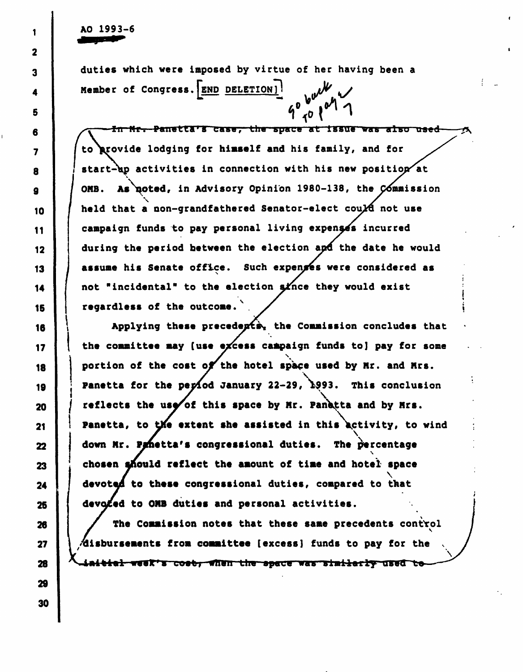AO 1993-6

duties which were imposed by virtue of her having been a Member of Congress.(END DELETION)! •• —\*

 $9^{6}$  ( $^{6}$ ) In Mr. Panetta's case, the space at issue was also used to {provide lodging for himself and his family, and for start-up activities in connection with his new position at OMB. As noted, in Advisory Opinion 1980-138, the Commission<br>hold that a sea cradiathered Secator-elect could not use held that a non-grandfathered Senator-elect cou $\chi$ d not use campaign funds to pay personal living expenses incurred during the period between the election apd the date he would assume his Senate office. Such expenses were considered as not "incidental" to the election since they would exist regardless of the outcome

Applying these precedents. the Commission concludes that the committee may (use excess campaign funds to) pay for some<br>continues of the seat of the betal subse used by We and Wes portion of the cost of the hotel space used by Mr. and Mrs. Panetta for the period January 22-29, 1993. This conclusion reflects the use of this space by Mr. Panetta and by Mrs. Panetta, to the extent she assisted in this activity, to wind  $\tilde{\zeta}$ down Mr. Penetta's congressional duties. The percentage<br>chosen should reflect the amount of time and hotel space chosen should reflect the amount of time and hotel space  $\sum$ devoted to these congressional duties, compared to that devoted to OMB duties and personal activities.

The Commission notes that these same precedents control  $A$ isbursements from committee [excess] funds to pay for the initial week's cost, when the space was similarly used to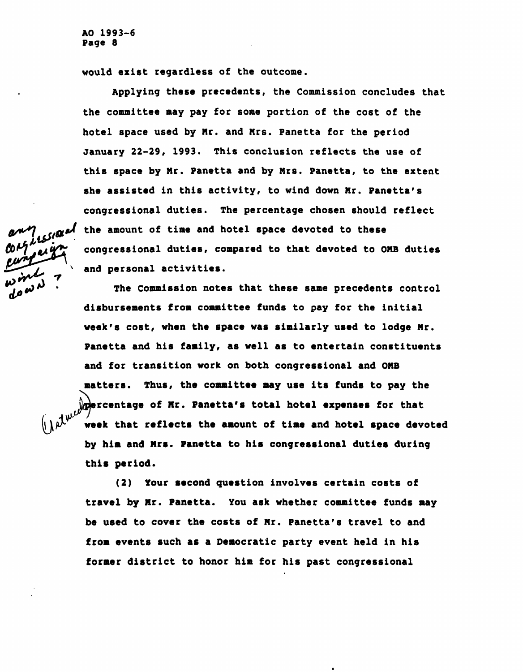would exist regardless of the outcome.

Applying these precedents, the Commission concludes that the committee may pay for some portion of the cost of the hotel space used by Mr. and Mrs. Panetta for the period January 22-29, 1993. This conclusion reflects the use of this space by Mr. Panetta and by Mrs. Panetta, to the extent she assisted in this activity, to wind down Mr. Panetta's congressional duties. The percentage chosen should reflect the amount of time and hotel space devoted to these congressional duties, compared to that devoted to OMB duties and personal activities.

The Commission notes that these same precedents control disbursements from committee funds to pay for the initial week's cost, when the space was similarly used to lodge Mr. Panetta and his family, as well as to entertain constituents and for transition work on both congressional and OMB matters. Thus, the committee may use its funds to pay the  $j$ g $j$ ercentage of Mr. Panetta's total hotel expenses for that week that reflects the amount of time and hotel space devoted by him and Mrs. Panetta to his congressional duties during this period.

(2) Your second question involves certain costs of travel by Mr. Panetta. You ask whether committee funds may be used to cover the costs of Mr. Panetta's travel to and from events such as a Democratic party event held in his former district to honor him for his past congressional

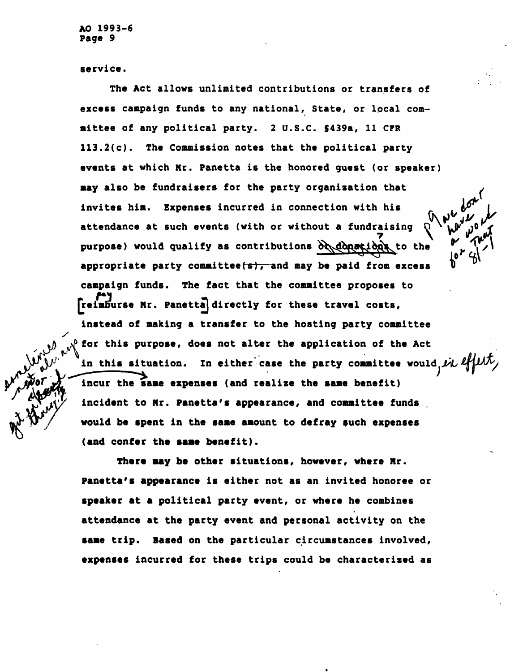service.

The Act allows unlimited contributions or transfers of excess campaign funds to any national, State, or local committee of any political party. 2 U.S.C. \$439a, 11 CFR 113.2(c). The Commission notes that the political party events at which Mr. Panetta is the honored guest (or speaker) may also be fundraisers for the party organization that invites him. Expenses incurred in connection with his attendance at such events (with or without a fundraising purpose) would qualify as contributions  $\partial \phi$  donations, to the appropriate party committee  $(\simeq)$ , and may be paid from excess campaign funds. The fact that the committee proposes to [reimburse Nr. Panettajdirectly for these travel costs, instead of making a transfer to the hosting party committee for this purpose, does not alter the application of the Act in this situation. In either case the party committee would, in effect, incur the same expenses (and realize the same benefit) incident to Mr. Panetta's appearance, and committee funds would be spent in the same amount to defray such expenses

 $\frac{1}{2}$ 

 $\mathbf{r}$ /\

There may be other situations, however, where Mr. Panetta's appearance is either not as an invited honoree or speaker at a political party event, or where he combines attendance at the party event and personal activity on the same trip. Based on the particular circumstances involved, expenses incurred for these trips could be characterized as

(and confer the same benefit).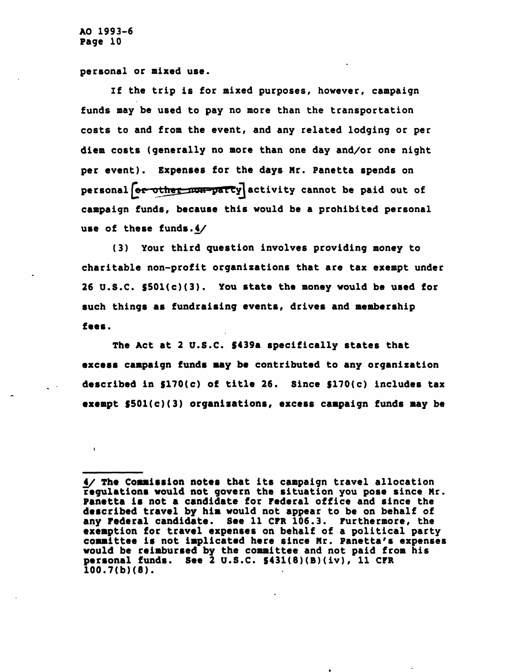personal or mixed use.

If the trip is for mixed purposes, however, campaign funds may be used to pay no more than the transportation costs to and from the event, and any related lodging or per diem costs (generally no more than one day and/or one night per event). Expenses for the days Mr. Panetta spends on personal  $\boxed{\text{or-other\_non-party}}$  activity cannot be paid out of campaign funds, because this would be a prohibited personal use of these funds.4/

(3) Your third question involves providing money to charitable non-profit organizations that are tax exempt under 26 U.S.C. S501(c)(3). You state the money would be used for such things as fundraising events, drives and membership fees.

The Act at 2 U.S.C. \$439a specifically states that excess campaign funds may be contributed to any organization described in §170(c) of title 26. Since §170(c) includes tax exempt §501(c)(3) organizations, excess campaign funds may be

<sup>4/</sup> The Commission notes that its campaign travel allocation regulations would not govern the situation you pose since Mr. Panetta is not a candidate for Federal office and since the described travel by him would not appear to be on behalf of any Federal candidate. See 11 CFR 106.3. Furthermore, the exemption for travel expenses on behalf of a political party committee is not implicated here since Mr. Panetta's expenses would be reimbursed by the committee and not paid from his personal funds. See 2 U.S.C. \$431(8)(B)(iv), 11 CFR  $100.7(b)(8)$ .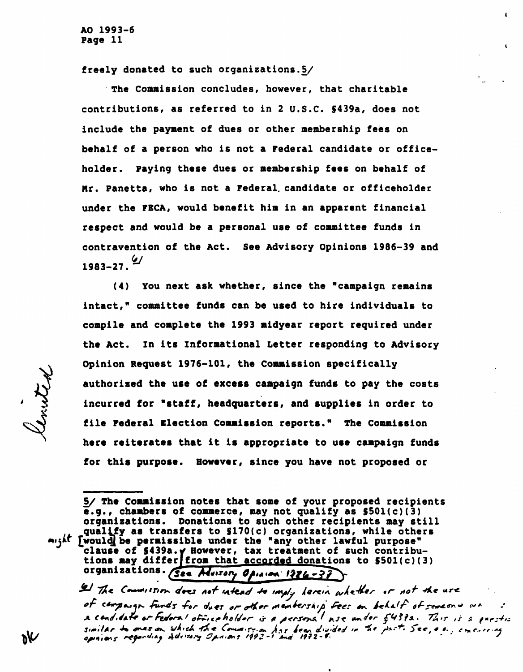freely donated to such organizations. $5/$ 

The Commission concludes, however, that charitable contributions, as referred to in 2 U.S.C. \$439a, does not include the payment of dues or other membership fees on behalf of a person who is not a Federal candidate or officeholder. Paying these dues or membership fees on behalf of Mr. Panetta, who is not a Federal, candidate or officeholder under the FECA, would benefit him in an apparent financial respect and would be a personal use of committee funds in contravention of the Act. See Advisory Opinions 1986-39 and  $1983 - 27.$   $\frac{\omega}{2}$ 

(4) You next ask whether, since the "campaign remains intact," committee funds can be used to hire individuals to compile and complete the 1993 midyear report required under the Act. In its Informational Letter responding to Advisory Opinion Request 1976-101, the Commission specifically authorized the use of excess campaign funds to pay the costs incurred for "staff, headquarters, and supplies in order to file Federal Election Commission reports." The Commission here reiterates that it is appropriate to use campaign funds for this purpose. However, since you have not proposed or

S/ The Commission notes that some of your proposed recipients  $\overline{e}.g.$ , chambers of commerce, may not qualify as  $$501(c)(3)$ organizations. Donations to such other recipients may still qualify as transfers to S170(c) organizations, while others might [would] be permissible under the "any other lawful purpose" clause of \$439a. Y However, tax treatment of such contributions may differ from that accorded donations to  $$501(c)(3)$ organizations. See Musery Opinion 1226-37

I The Commission does not intend to imply herein whether or not the use.<br>of campaign funds for dues or other membership fees on behalf of someone wa a candidate or Fedoral office holder is a personal noe under 5439a. This is a question similar to meson which the Commission for been divided in the part. See, e.g., emerging<br>opinions regarding Advisory Opinions 1992-1 and 1992-4.

ineted

እ∨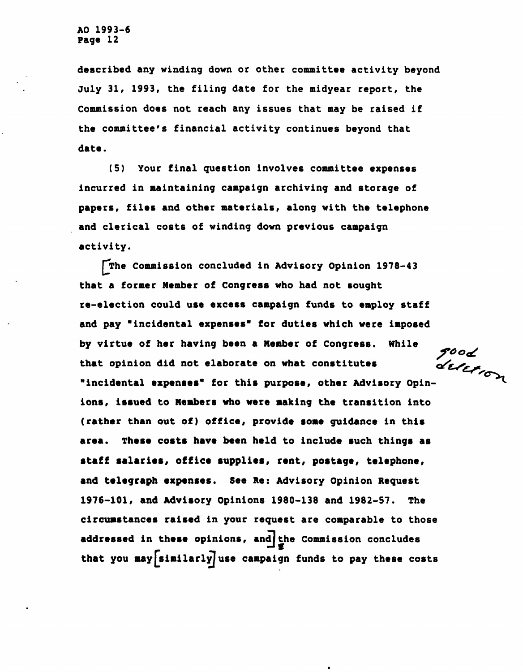described any winding down or other committee activity beyond July 31, 1993, the filing date for the midyear report, the Commission does not reach any issues that may be raised if the committee's financial activity continues beyond that date.

(5) Your final question involves committee expenses incurred in maintaining campaign archiving and storage of papers, files and other materials, along with the telephone and clerical costs of winding down previous campaign activity.

The Commission concluded in Advisory Opinion 1978-43 that a former Member of Congress who had not sought re-election could use excess campaign funds to employ staff and pay "incidental expenses" for duties which were imposed by virtue of her having been a Member of Congress. While that opinion did not elaborate on what constitutes by virtue or ner naving seen a newlest<br>that opinion did not elaborate on what constitutes<br>"incidental expenses" for this purpose, other Advisory Opinions, issued to Members who were making the transition into (rather than out of) office, provide some guidance in this area. These costs have been held to include such things as staff salaries, office supplies, rent, postage, telephone, and telegraph expenses. See Re: Advisory Opinion Request 1976-101, and Advisory Opinions 1980-138 and 1982-57. The circumstances raised in your request are comparable to those addressed in these opinions, and the Commission concludes that you may  $\left[\text{similarly}\right]$  use campaign funds to pay these costs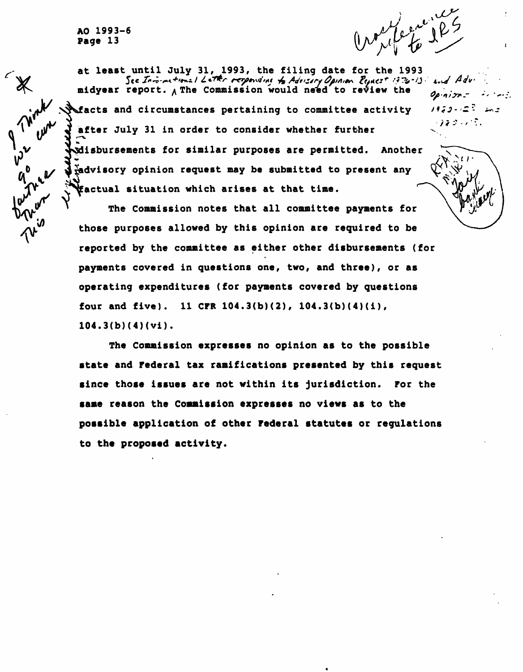$\overline{\imath}$   $\overline{\imath}$   $\overline{\imath}$   $\overline{\imath}$   $\overline{\imath}$   $\overline{\imath}$   $\overline{\imath}$   $\overline{\imath}$   $\overline{\imath}$   $\overline{\imath}$ 

at least until July 31, 1993, the filing date for the 1993 See Informational Letter responsing to Advisity Opinion Request 1776-13 and Adv.  $\langle v, w \rangle$ midyear report.  $\rho$  The Commission would need to review the  $\rho_{\rho, \rho, \gamma, \gamma, \gamma}$ **Nfacts and circumstances pertaining to committee activity**  $\forall i \in I$ .  $\mathbb{R}$ after July 31 in order to consider whether further r-X ^disbursements for similar purposes are permitted. Another  $\frac{y}{x}$ advisory opinion request may be submitted to present any  $\eta_{\alpha\beta}$   $\psi$   $\psi$ factual situation which arises at that time.

> The Commission notes that all committee payments for those purposes allowed by this opinion are required to be reported by the committee as either other disbursements (for payments covered in questions one, two, and three), or as operating expenditures (for payments covered by questions four and five). 11 CFR  $104.3(b)(2)$ ,  $104.3(b)(4)(i)$ , 104.3(b)(4)(vi).

The Commission expresses no opinion as to the possible state and Federal tax ramifications presented by this request since those issues are not within its jurisdiction. For the same reason the Commission expresses no views as to the possible application of other Federal statutes or regulations to the proposed activity.